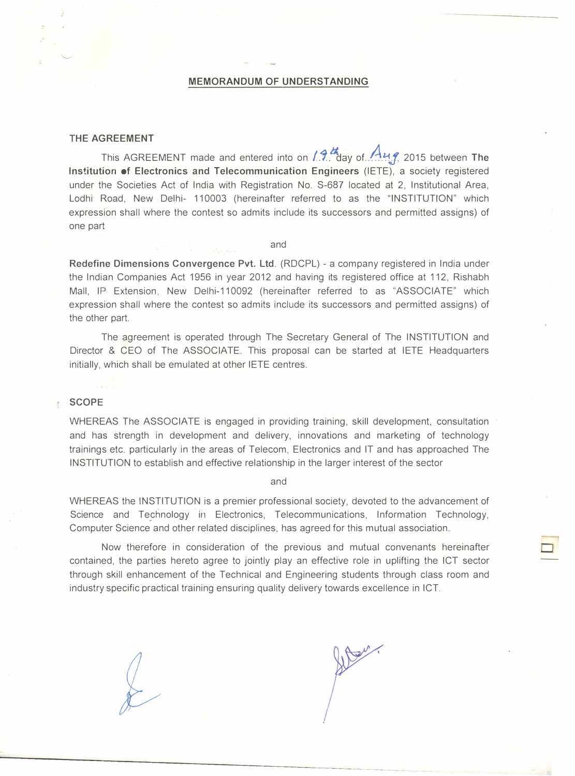#### MEMORANDUM OF UNDERSTANDING

#### THE AGREEMENT

This AGREEMENT made and entered into on  $1.9.4$  day of  $A_{1.4}$  2015 between The Institution of Electronics and Telecommunication Engineers (IETE), a society registered under the Societies Act of India with Registration No. S-687 located at 2, Institutional Area, Lodhi Road, New Delhi- 110003 (hereinafter referred to as the "INSTITUTION" which expression shall where the contest so admits include its successors and permitted assigns) of one part

and

Redefine Dimensions Convergence Pvt. Ltd. (RDCPL)- a company registered in India under the Indian Companies Act 1956 in year 2012 and having its registered office at 112, Rishabh Mall, IP Extension, New Delhi-110092 (hereinafter referred to as "ASSOCIATE" which expression shall where the contest so admits include its successors and permitted assigns) of the other part.

The agreement is operated through The Secretary General of The INSTITUTION and Director & CEO of The ASSOCIATE. This proposal can be started at IETE Headquarters initially, which shall be emulated at other IETE centres.

#### **SCOPE**  $\frac{1}{2}$

WHEREAS The ASSOCIATE is engaged in providing training, skill development, consultation and has strength in development and delivery, innovations and marketing of technology trainings etc. particularly in the areas of Telecom, Electronics and IT and has approached The INSTITUTION to establish and effective relationship in the larger interest of the sector

and

WHEREAS the INSTITUTION is a premier professional society, devoted to the advancement of Science and Technology in Electronics, Telecommunications, Information Technology, Computer Science and other related disciplines, has agreed for this mutual association.

Now therefore in consideration of the previous and mutual convenants hereinafter contained, the parties hereto agree to jointly play an effective role in uplifting the ICT sector through skill enhancement of the Technical and Engineering students through class room and industry specific practical training ensuring quality delivery towards excellence in ICT.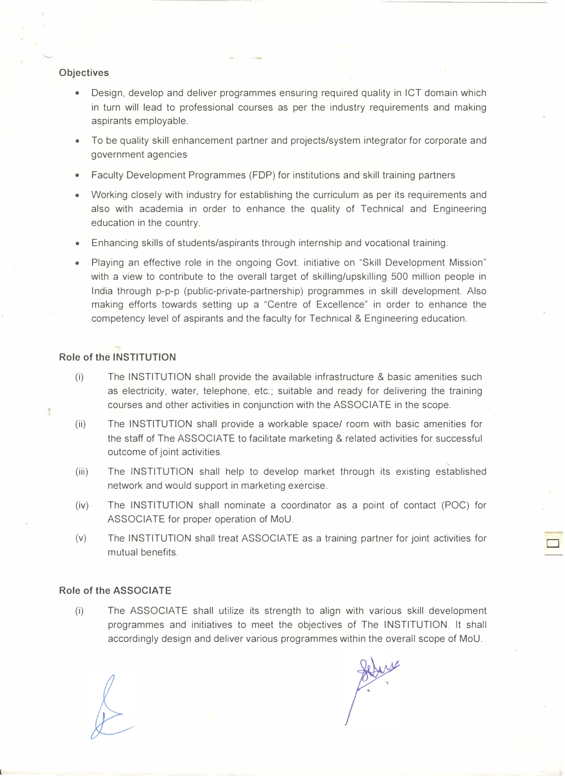#### **Objectives**

- Design, develop and deliver programmes ensuring required quality in ICT domain which in turn will lead to professional courses as per the industry requirements and making aspirants employable.
- To be quality skill enhancement partner and projects/system integrator for corporate and government agencies
- Faculty Development Programmes (FOP) for institutions and skill training partners
- Working closely with industry for establishing the curriculum as per its requirements and also with academia in order to enhance the quality of Technical and Engineering education in the country.
- Enhancing skills of students/aspirants through internship and vocational training.
- Playing an effective role in the ongoing Govt. initiative on "Skill Development Mission" with a view to contribute to the overall target of skilling/upskilling 500 million people in India through p-p-p (public-private-partnership) programmes in skill development. Also making efforts towards setting up a "Centre of Excellence" in order to enhance the competency level of aspirants and the faculty for Technical & Engineering education.

# Role of the INSTITUTION

ł.

- (i) The INSTITUTION shall provide the available infrastructure & basic amenities such as electricity, water, telephone, etc.; suitable and ready for delivering the training courses and other activities in conjunction with the ASSOCIATE in the scope.
- (ii) The INSTITUTION shall provide a workable space/ room with basic amenities for the staff of The ASSOCIATE to facilitate marketing & related activities for successful outcome of joint activities.
- (iii) The INSTITUTION shall help to develop market through its existing established network and would support in marketing exercise.
- (iv) The INSTITUTION shall nominate a coordinator as a point of contact (POC) for ASSOCIATE for proper operation of MoU.
- (v) The INSTITUTION shall treat ASSOCIATE as a training partner for joint activities for mutual benefits.

## Role of the ASSOCIATE

(i) The ASSOCIATE shall utilize its strength to align with various skill development programmes and initiatives to meet the objectives of The INSTITUTION. It shall accordingly design and deliver various programmes within the overall scope of MoU.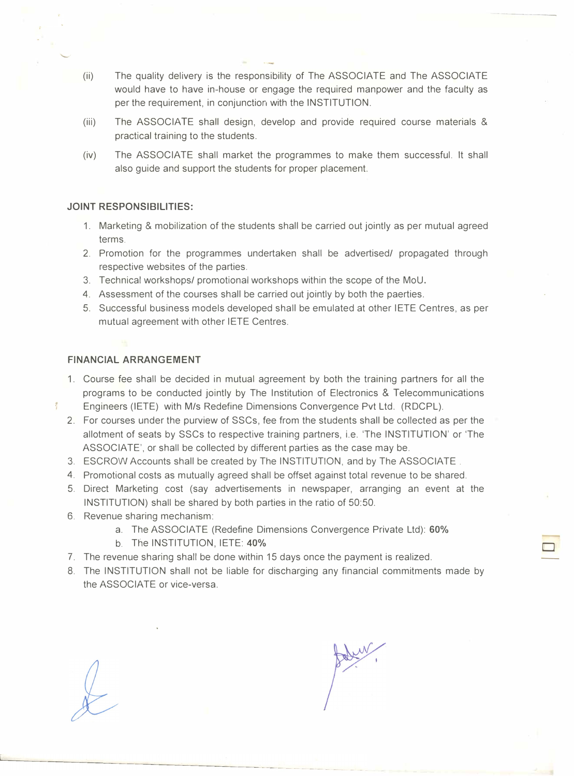- (ii) The quality delivery is the responsibility of The ASSOCIATE and The ASSOCIATE would have to have in-house or engage the required manpower and the faculty as per the requirement, in conjunction with the INSTITUTION.
- (iii) The ASSOCIATE shall design, develop and provide required course materials & practical training to the students.
- (iv) The ASSOCIATE shall market the programmes to make them successful. It shall also guide and support the students for proper placement.

# JOINT RESPONSIBILITIES:

- 1. Marketing & mobilization of the students shall be carried out jointly as per mutual agreed terms.
- 2. Promotion for the programmes undertaken shall be advertised/ propagated through respective websites of the parties.
- 3. Technical workshops/ promotional workshops within the scope of the MoU.
- 4. Assessment of the courses shall be carried out jointly by both the paerties.
- 5. Successful business models developed shall be emulated at other IETE Centres, as per mutual agreement with other IETE Centres.

# FINANCIAL ARRANGEMENT

Ť

- 1. Course fee shall be decided in mutual agreement by both the training partners for all the programs to be conducted jointly by The Institution of Electronics & Telecommunications Engineers (IETE) with M/s Redefine Dimensions Convergence Pvt Ltd. (RDCPL).
- 2. For courses under the purview of SSCs, fee from the students shall be collected as per the allotment of seats by SSCs to respective training partners, i.e. 'The INSTITUTION' or 'The ASSOCIATE', or shall be collected by different parties as the case may be.
- 3. ESCROW Accounts shall be created by The INSTITUTION, and by The ASSOCIATE.
- 4. Promotional costs as mutually agreed shall be offset against total revenue to be shared.
- 5. Direct Marketing cost (say advertisements in newspaper, arranging an event at the INSTITUTION) shall be shared by both parties in the ratio of 50:50.
- 6. Revenue sharing mechanism:
	- a. The ASSOCIATE (Redefine Dimensions Convergence Private Ltd): 60%
	- b. The INSTITUTION, IETE: 40%
- 7. The revenue sharing shall be done within 15 days once the payment is realized.
- 8. The INSTITUTION shall not be liable for discharging any financial commitments made by the ASSOCIATE or vice-versa.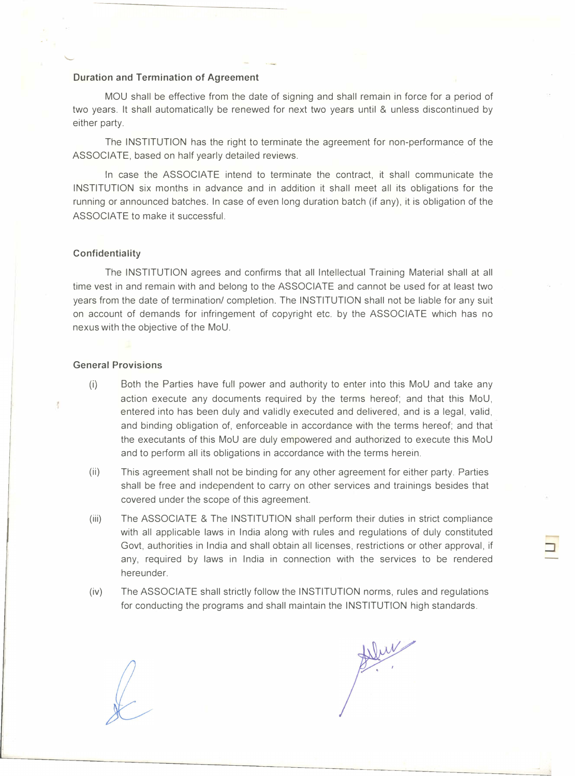## Duration and Termination of Agreement

MOU shall be effective from the date of signing and shall remain in force for a period of two years. It shall automatically be renewed for next two years until & unless discontinued by either party.

The INSTITUTION has the right to terminate the agreement for non-performance of the ASSOCIATE, based on half yearly detailed reviews.

In case the ASSOCIATE intend to terminate the contract, it shall communicate the INSTITUTION six months in advance and in addition it shall meet all its obligations for the running or announced batches. In case of even long duration batch (if any), it is obligation of the ASSOCIATE to make it successful.

## Confidentiality

The INSTITUTION agrees and confirms that all Intellectual Training Material shall at all time vest in and remain with and belong to the ASSOCIATE and cannot be used for at least two years from the date of termination/ completion. The INSTITUTION shall not be liable for any suit on account of demands for infringement of copyright etc. by the ASSOCIATE which has no nexus with the objective of the MoU.

## General Provisions

 $\frac{1}{2}$ 

- (i) Both the Parties have full power and authority to enter into this MoU and take any action execute any documents required by the terms hereof; and that this MoU, entered into has been duly and validly executed and delivered, and is a legal, valid, and binding obligation of, enforceable in accordance with the terms hereof; and that the executants of this MoU are duly empowered and authorized to execute this MoU and to perform all its obligations in accordance with the terms herein.
- (ii) This agreement shall not be binding for any other agreement for either party. Parties shall be free and independent to carry on other services and trainings besides that covered under the scope of this agreement.
- (iii) The ASSOCIATE & The INSTITUTION shall perform their duties in strict compliance with all applicable laws in India along with rules and regulations of duly constituted Govt, authorities in India and shall obtain all licenses, restrictions or other approval, if any, required by laws in India in connection with the services to be rendered hereunder.
- (iv) The ASSOCIATE shall strictly follow the INSTITUTION norms, rules and regulations for conducting the programs and shall maintain the INSTITUTION high standards.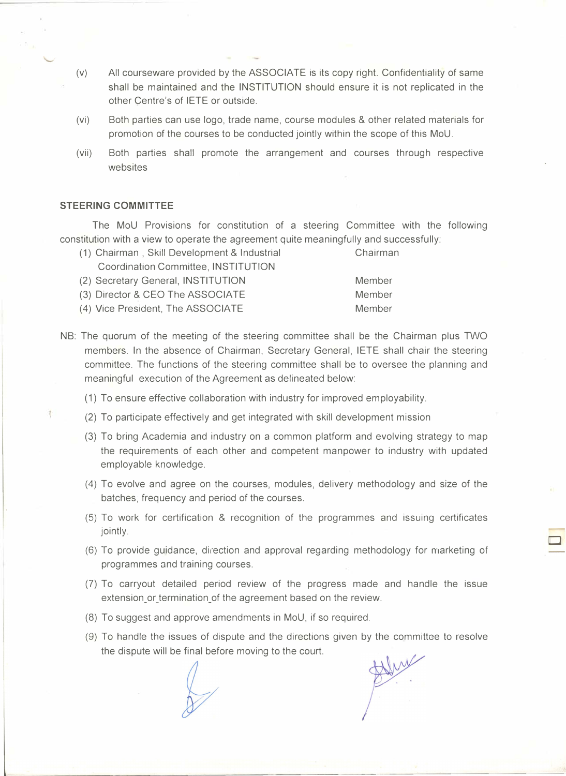- (v) All courseware provided by the ASSOCIATE is its copy right. Confidentiality of same shall be maintained and the INSTITUTION should ensure it is not replicated in the other Centre's of IETE or outside.
- (vi) Both parties can use logo, trade name, course modules & other related materials for promotion of the courses to be conducted jointly within the scope of this MoU.
- (vii) Both parties shall promote the arrangement and courses through respective websites

## STEERING COMMITTEE

The MoU Provisions for constitution of a steering Committee with the following constitution with a view to operate the agreement quite meaningfully and successfully:

- (1) Chairman , Skill Development & Industrial Chairman Coordination Committee, INSTITUTION (2) Secretary General, INSTITUTION Member (3) Director & CEO The ASSOCIATE Member
- (4) Vice President, The ASSOCIATE Member
- NB: The quorum of the meeting of the steering committee shall be the Chairman plus TWO members. In the absence of Chairman, Secretary General, IETE shall chair the steering committee. The functions of the steering committee shall be to oversee the planning and meaningful execution of the Agreement as delineated below:
	- (1) To ensure effective collaboration with industry for improved employability.
	- (2) To participate effectively and get integrated with skill development mission
	- (3) To bring Academia and industry on a common platform and evolving strategy to map the requirements of each other and competent manpower to industry with updated employable knowledge.
	- (4) To evolve and agree on the courses, modules, delivery methodology and size of the batches; frequency and period of the courses.
	- (5) To work for certification & recognition of the programmes and issuing certificates jointly.
	- (6) To provide guidance, direction and approval regarding methodology for marketing of programmes and training courses.
	- (7) To carryout detailed period review of the progress made and handle the issue extension or termination of the agreement based on the review.
	- (8) To suggest and approve amendments in MoU, if so required.
	- (9) To handle the issues of dispute and the directions given by the committee to resolve the dispute will be final before moving to the court.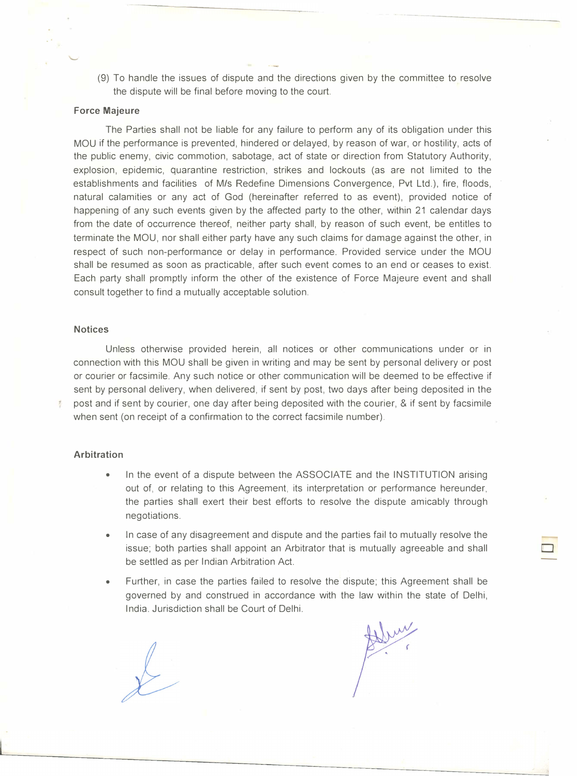(9) To handle the issues of dispute and the directions given by the committee to resolve the dispute will be final before moving to the court.

### Force Majeure

The Parties shall not be liable for any failure to perform any of its obligation under this MOU if the performance is prevented, hindered or delayed, by reason of war, or hostility, acts of the public enemy, civic commotion, sabotage, act of state or direction from Statutory Authority, explosion, epidemic, quarantine restriction, strikes and lockouts (as are not limited to the establishments and facilities of M/s Redefine Dimensions Convergence, Pvt Ltd.), fire, floods, natural calamities or any act of God (hereinafter referred to as event), provided notice of happening of any such events given by the affected party to the other, within 21 calendar days from the date of occurrence thereof, neither party shall, by reason of such event, be entitles to terminate the MOU, nor shall either party have any such claims for damage against the other, in respect of such non-performance or delay in performance. Provided service under the MOU shall be resumed as soon as practicable, after such event comes to an end or ceases to exist. Each party shall promptly inform the other of the existence of Force Majeure event and shall consult together to find a mutually acceptable solution.

#### **Notices**

Unless otherwise provided herein, all notices or other communications under or in connection with this MOU shall be given in writing and may be sent by personal delivery or post or courier or facsimile. Any such notice or other communication will be deemed to be effective if sent by personal delivery, when delivered, if sent by post, two days after being deposited in the post and if sent by courier, one day after being deposited with the courier, & if sent by facsimile when sent (on receipt of a confirmation to the correct facsimile number).

## **Arbitration**

- In the event of a dispute between the ASSOCIATE and the INSTITUTION arising out of, or relating to this Agreement, its interpretation or performance hereunder, the parties shall exert their best efforts to resolve the dispute amicably through negotiations.
- In case of any disagreement and dispute and the parties fail to mutually resolve the issue; both parties shall appoint an Arbitrator that is mutually agreeable and shall be settled as per Indian Arbitration Act.
- Further, in case the parties failed to resolve the dispute; this Agreement shall be governed by and construed in accordance with the law within the state of Delhi, India. Jurisdiction shall be Court of Delhi.